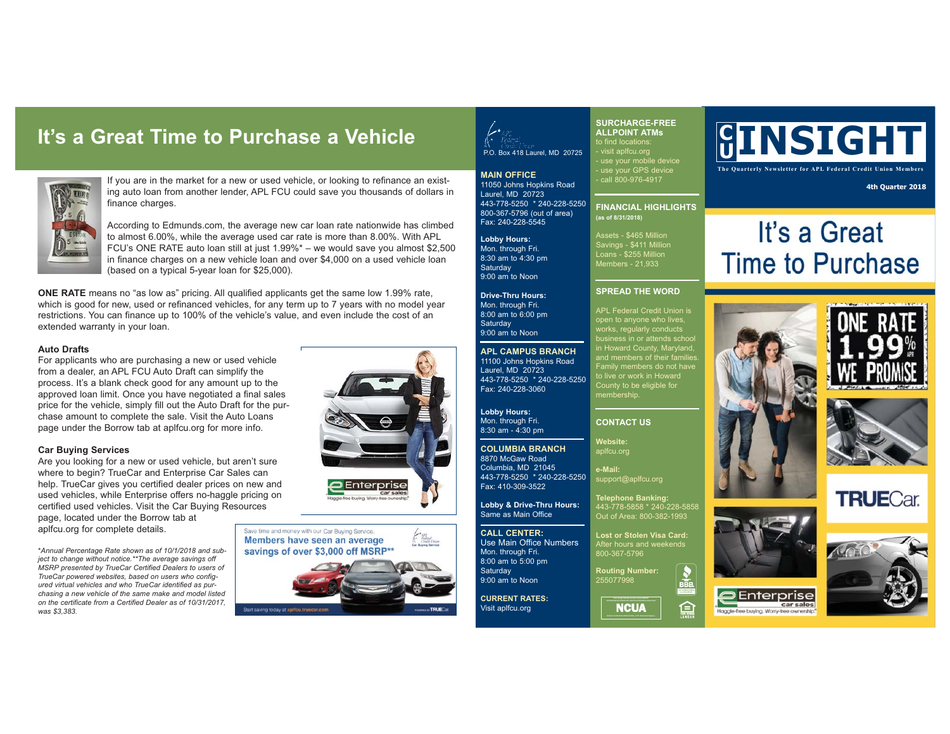# **It's a Great Time to Purchase a Vehicle Instituted the purchasing the surge of the second of the second of the second of the second of the second of the second of the second of the second**  $\begin{bmatrix} 0 & 1 & 1 \ 0 & 1 & 1 \end{bmatrix}$



If you are in the market for a new or used vehicle, or looking to refinance an existing auto loan from another lender, APL FCU could save you thousands of dollars in finance charges.

According to Edmunds.com, the average new car loan rate nationwide has climbed to almost 6.00%, while the average used car rate is more than 8.00%. With APL FCU's ONE RATE auto loan still at just 1.99%\* – we would save you almost \$2,500 in finance charges on a new vehicle loan and over \$4,000 on a used vehicle loan (based on a typical 5-year loan for \$25,000).

**ONE RATE** means no "as low as" pricing. All qualified applicants get the same low 1.99% rate, which is good for new, used or refinanced vehicles, for any term up to 7 years with no model year restrictions. You can finance up to 100% of the vehicle's value, and even include the cost of an extended warranty in your loan.

## **Auto Drafts**

For applicants who are purchasing a new or used vehicle from a dealer, an APL FCU Auto Draft can simplify the process. It's a blank check good for any amount up to the approved loan limit. Once you have negotiated a final sales price for the vehicle, simply fill out the Auto Draft for the purchase amount to complete the sale. Visit the Auto Loans page under the Borrow tab at aplfcu.org for more info.

## **Car Buying Services**

Are you looking for a new or used vehicle, but aren't sure where to begin? TrueCar and Enterprise Car Sales can help. TrueCar gives you certified dealer prices on new and used vehicles, while Enterprise offers no-haggle pricing on certified used vehicles. Visit the Car Buying Resources page, located under the Borrow tab at aplfcu.org for complete details.

\**Annual Percentage Rate shown as of 10/1/2018 and subject to change without notice.\*\*The average savings off MSRP presented by TrueCar Certified Dealers to users of TrueCar powered websites, based on users who configured virtual vehicles and who TrueCar identified as purchasing a new vehicle of the same make and model listed on the certificate from a Certified Dealer as of 10/31/2017, was \$3,383.*







**MAIN OFFICE** 11050 Johns Hopkins Road Laurel, MD 20723 443-778-5250 \* 240-228-5250 800-367-5796 (out of area) Fax: 240-228-5545

**Lobby Hours:**  Mon. through Fri. 8:30 am to 4:30 pm **Saturday** 9:00 am to Noon

**Drive-Thru Hours:** Mon. through Fri. 8:00 am to 6:00 pm **Saturdav** 9:00 am to Noon

**APL CAMPUS BRANCH** 11100 Johns Hopkins Road Laurel, MD 20723 443-778-5250 \* 240-228-5250 Fax: 240-228-3060

**Lobby Hours:** Mon. through Fri. 8:30 am - 4:30 pm

**COLUMBIA BRANCH** 8870 McGaw Road Columbia, MD 21045 443-778-5250 \* 240-228-5250 Fax: 410-309-3522

**Lobby & Drive-Thru Hours:**  Same as Main Office

**CALL CENTER:** Use Main Office Numbers Mon. through Fri. 8:00 am to 5:00 pm **Saturday** 9:00 am to Noon

**CURRENT RATES:** Visit aplfcu.org

## **SURCHARGE-FREE ALLPOINT ATMs**

to find locations: - visit aplfcu.org - use your mobile device - use your GPS device - call 800-976-4917

**FINANCIAL HIGHLIGHTS (as of 8/31/2018)** 

Savings - \$411 Million Loans - \$255 Million Members - 21,933

## **SPREAD THE WORD**

APL Federal Credit Union is works, regularly conducts in Howard County, Maryland, and members of their families. Family members do not have to live or work in Howard County to be eligible for membership.

### **CONTACT US**

**Website:**  aplfcu.org

**e-Mail:**  support@aplfcu.org

**Telephone Banking:**<br>443-778-5858 \* 240-228-5858 Out of Area: 800-382-1993

**Lost or Stolen Visa Card:** After hours and weekends 800-367-5796

**Routing Number:** 255077998

**a**<br>NCUA

仑

**The Quarterly Newsletter for APL Federal Credit Union Members**

**4th Quarter 2018**

# It's a Great **Time to Purchase**